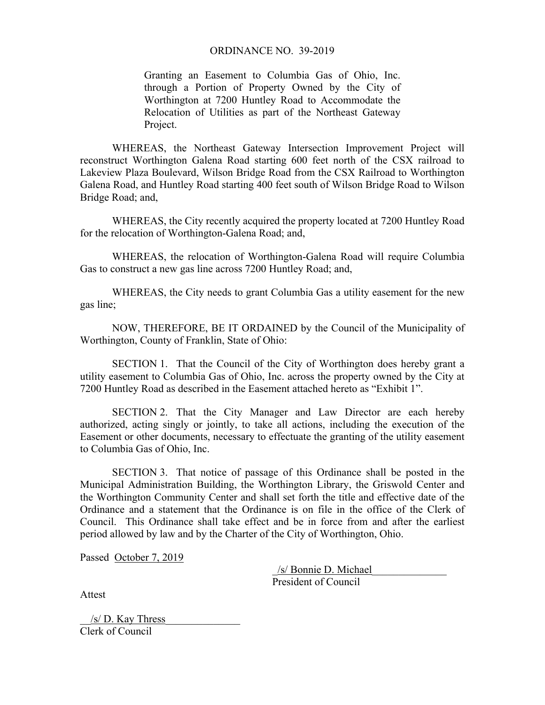## ORDINANCE NO. 39-2019

Granting an Easement to Columbia Gas of Ohio, Inc. through a Portion of Property Owned by the City of Worthington at 7200 Huntley Road to Accommodate the Relocation of Utilities as part of the Northeast Gateway Project.

 WHEREAS, the Northeast Gateway Intersection Improvement Project will reconstruct Worthington Galena Road starting 600 feet north of the CSX railroad to Lakeview Plaza Boulevard, Wilson Bridge Road from the CSX Railroad to Worthington Galena Road, and Huntley Road starting 400 feet south of Wilson Bridge Road to Wilson Bridge Road; and,

 WHEREAS, the City recently acquired the property located at 7200 Huntley Road for the relocation of Worthington-Galena Road; and,

 WHEREAS, the relocation of Worthington-Galena Road will require Columbia Gas to construct a new gas line across 7200 Huntley Road; and,

 WHEREAS, the City needs to grant Columbia Gas a utility easement for the new gas line;

 NOW, THEREFORE, BE IT ORDAINED by the Council of the Municipality of Worthington, County of Franklin, State of Ohio:

 SECTION 1. That the Council of the City of Worthington does hereby grant a utility easement to Columbia Gas of Ohio, Inc. across the property owned by the City at 7200 Huntley Road as described in the Easement attached hereto as "Exhibit 1".

SECTION 2. That the City Manager and Law Director are each hereby authorized, acting singly or jointly, to take all actions, including the execution of the Easement or other documents, necessary to effectuate the granting of the utility easement to Columbia Gas of Ohio, Inc.

SECTION 3. That notice of passage of this Ordinance shall be posted in the Municipal Administration Building, the Worthington Library, the Griswold Center and the Worthington Community Center and shall set forth the title and effective date of the Ordinance and a statement that the Ordinance is on file in the office of the Clerk of Council. This Ordinance shall take effect and be in force from and after the earliest period allowed by law and by the Charter of the City of Worthington, Ohio.

Passed October 7, 2019

 \_/s/ Bonnie D. Michael\_\_\_\_\_\_\_\_\_\_\_\_\_\_ President of Council

Attest

 $/s/D$ . Kay Thress Clerk of Council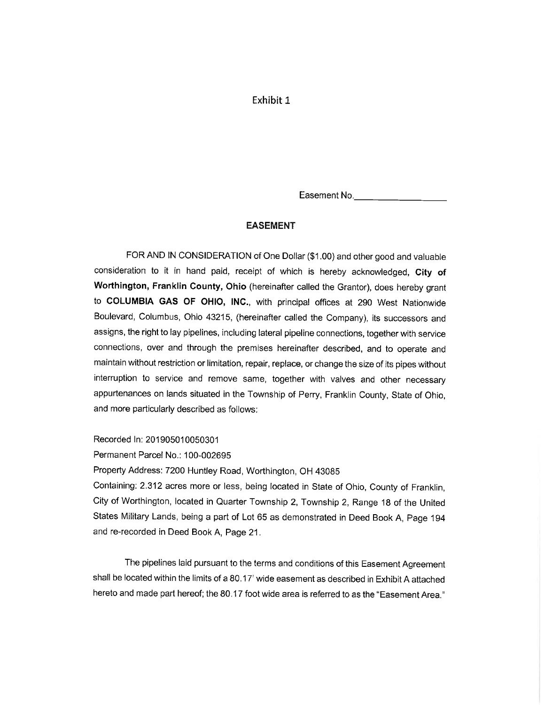# Exhibit 1

Easement No.

#### **EASEMENT**

FOR AND IN CONSIDERATION of One Dollar (\$1.00) and other good and valuable consideration to it in hand paid, receipt of which is hereby acknowledged. City of Worthington, Franklin County, Ohio (hereinafter called the Grantor), does hereby grant to COLUMBIA GAS OF OHIO, INC., with principal offices at 290 West Nationwide Boulevard, Columbus, Ohio 43215, (hereinafter called the Company), its successors and assigns, the right to lay pipelines, including lateral pipeline connections, together with service connections, over and through the premises hereinafter described, and to operate and maintain without restriction or limitation, repair, replace, or change the size of its pipes without interruption to service and remove same, together with valves and other necessary appurtenances on lands situated in the Township of Perry, Franklin County, State of Ohio, and more particularly described as follows:

Recorded In: 201905010050301

Permanent Parcel No.: 100-002695

Property Address: 7200 Huntley Road, Worthington, OH 43085

Containing: 2.312 acres more or less, being located in State of Ohio, County of Franklin, City of Worthington, located in Quarter Township 2, Township 2, Range 18 of the United States Military Lands, being a part of Lot 65 as demonstrated in Deed Book A, Page 194 and re-recorded in Deed Book A, Page 21.

The pipelines laid pursuant to the terms and conditions of this Easement Agreement shall be located within the limits of a 80.17' wide easement as described in Exhibit A attached hereto and made part hereof; the 80.17 foot wide area is referred to as the "Easement Area."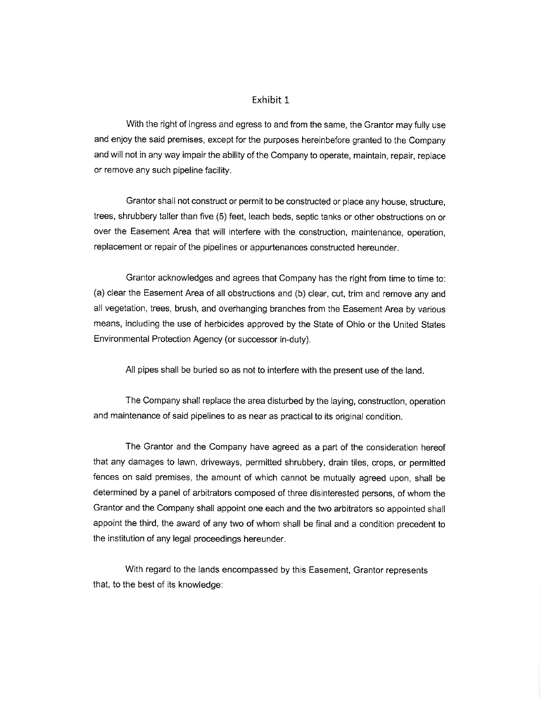#### Exhibit 1

With the right of ingress and egress to and from the same, the Grantor may fully use and enjoy the said premises, except for the purposes hereinbefore granted to the Company and will not in any way impair the ability of the Company to operate, maintain, repair, replace or remove any such pipeline facility.

Grantor shall not construct or permit to be constructed or place any house, structure, trees, shrubbery taller than five (5) feet, leach beds, septic tanks or other obstructions on or over the Easement Area that will interfere with the construction, maintenance, operation, replacement or repair of the pipelines or appurtenances constructed hereunder.

Grantor acknowledges and agrees that Company has the right from time to time to: (a) clear the Easement Area of all obstructions and (b) clear, cut, trim and remove any and all vegetation, trees, brush, and overhanging branches from the Easement Area by various means, including the use of herbicides approved by the State of Ohio or the United States Environmental Protection Agency (or successor in-duty).

All pipes shall be buried so as not to interfere with the present use of the land.

The Company shall replace the area disturbed by the laying, construction, operation and maintenance of said pipelines to as near as practical to its original condition.

The Grantor and the Company have agreed as a part of the consideration hereof that any damages to lawn, driveways, permitted shrubbery, drain tiles, crops, or permitted fences on said premises, the amount of which cannot be mutually agreed upon, shall be determined by a panel of arbitrators composed of three disinterested persons, of whom the Grantor and the Company shall appoint one each and the two arbitrators so appointed shall appoint the third, the award of any two of whom shall be final and a condition precedent to the institution of any legal proceedings hereunder.

With regard to the lands encompassed by this Easement, Grantor represents that, to the best of its knowledge: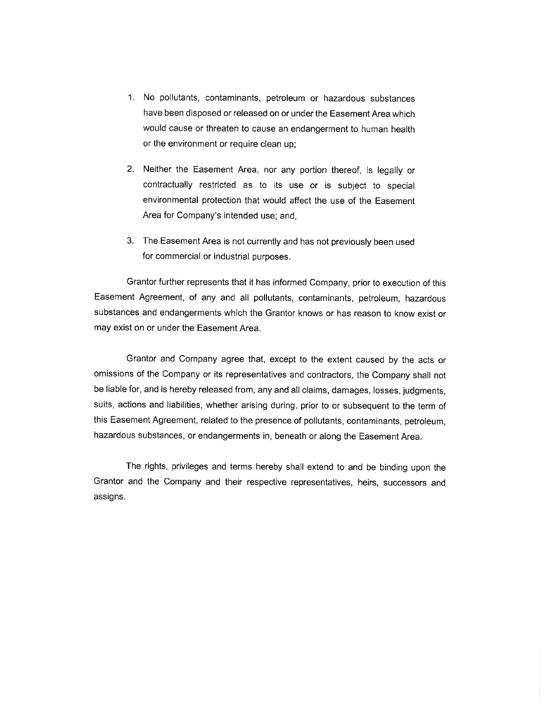- 1. No pollutants, contaminants, petroleum or hazardous substances have been disposed or released on or under the Easement Area which would cause or threaten to cause an endangerment to human health or the environment or require clean up;
- 2. Neither the Easement Area, nor any portion thereof, is legally or contractually restricted as to its use or is subject to special environmental protection that would affect the use of the Easement Area for Company's intended use; and,
- 3. The Easement Area is not currently and has not previously been used for commercial or industrial purposes.

Grantor further represents that it has informed Company, prior to execution of this Easement Agreement, of any and all pollutants, contaminants, petroleum, hazardous substances and endangerments which the Grantor knows or has reason to know exist or may exist on or under the Easement Area.

Grantor and Company agree that, except to the extent caused by the acts or omissions of the Company or its representatives and contractors, the Company shall not be liable for, and is hereby released from, any and all claims, damages, losses, judgments, suits, actions and liabilities, whether arising during, prior to or subsequent to the term of this Easement Agreement, related to the presence of pollutants, contaminants, petroleum, hazardous substances, or endangerments in, beneath or along the Easement Area.

The rights, privileges and terms hereby shall extend to and be binding upon the Grantor and the Company and their respective representatives, heirs, successors and assigns.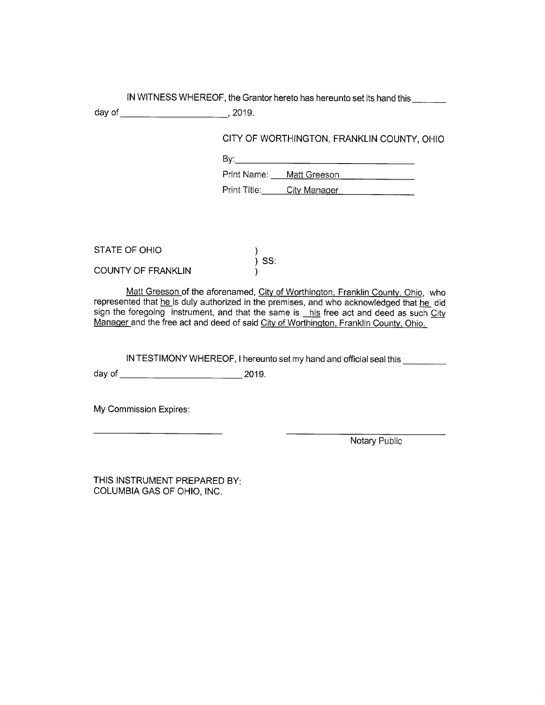IN WITNESS WHEREOF, the Grantor hereto has hereunto set its hand this

CITY OF WORTHINGTON, FRANKLIN COUNTY, OHIO

Print Name: Matt Greeson Print Title: City Manager

STATE OF OHIO

**COUNTY OF FRANKLIN** 

Matt Greeson of the aforenamed, City of Worthington, Franklin County, Ohio, who represented that he is duly authorized in the premises, and who acknowledged that he did sign the foregoing instrument, and that the same is his free act and deed as such City Manager and the free act and deed of said City of Worthington, Franklin County, Ohio.

)<br>) SS:

IN TESTIMONY WHEREOF, I hereunto set my hand and official seal this

My Commission Expires:

Notary Public

THIS INSTRUMENT PREPARED BY: COLUMBIA GAS OF OHIO, INC.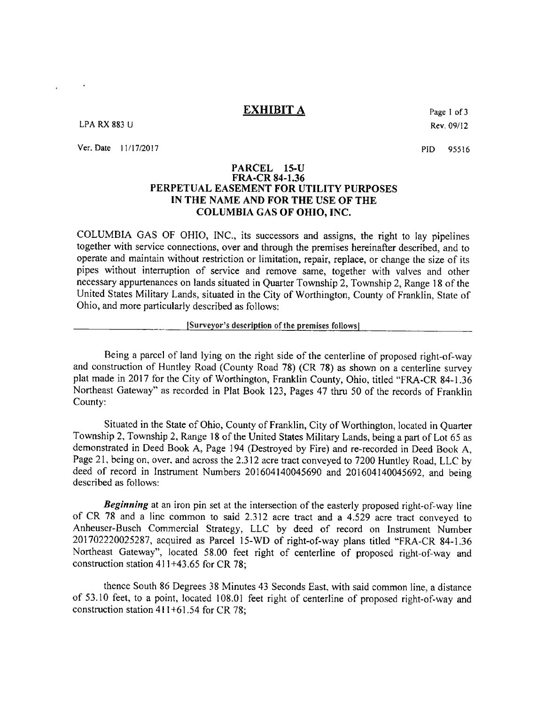**EXHIBIT A** 

**LPA RX 883 U** 

 $\bullet$ 

Ver. Date 11/17/2017

Page 1 of 3 Rev. 09/12

PID. 95516

## PARCEL 15-U **FRA-CR 84-1.36** PERPETUAL EASEMENT FOR UTILITY PURPOSES IN THE NAME AND FOR THE USE OF THE **COLUMBIA GAS OF OHIO, INC.**

COLUMBIA GAS OF OHIO, INC., its successors and assigns, the right to lay pipelines together with service connections, over and through the premises hereinafter described, and to operate and maintain without restriction or limitation, repair, replace, or change the size of its pipes without interruption of service and remove same, together with valves and other necessary appurtenances on lands situated in Quarter Township 2, Township 2, Range 18 of the United States Military Lands, situated in the City of Worthington, County of Franklin, State of Ohio, and more particularly described as follows:

### [Surveyor's description of the premises follows]

Being a parcel of land lying on the right side of the centerline of proposed right-of-way and construction of Huntley Road (County Road 78) (CR 78) as shown on a centerline survey plat made in 2017 for the City of Worthington, Franklin County, Ohio, titled "FRA-CR 84-1.36 Northeast Gateway" as recorded in Plat Book 123, Pages 47 thru 50 of the records of Franklin County:

Situated in the State of Ohio, County of Franklin, City of Worthington, located in Ouarter Township 2, Township 2, Range 18 of the United States Military Lands, being a part of Lot 65 as demonstrated in Deed Book A, Page 194 (Destroyed by Fire) and re-recorded in Deed Book A. Page 21, being on, over, and across the 2.312 acre tract conveyed to 7200 Huntley Road, LLC by deed of record in Instrument Numbers 201604140045690 and 201604140045692, and being described as follows:

**Beginning** at an iron pin set at the intersection of the easterly proposed right-of-way line of CR 78 and a line common to said 2.312 acre tract and a 4.529 acre tract conveyed to Anheuser-Busch Commercial Strategy, LLC by deed of record on Instrument Number 201702220025287, acquired as Parcel 15-WD of right-of-way plans titled "FRA-CR 84-1.36 Northeast Gateway", located 58.00 feet right of centerline of proposed right-of-way and construction station  $411+43.65$  for CR 78:

thence South 86 Degrees 38 Minutes 43 Seconds East, with said common line, a distance of 53.10 feet, to a point, located 108.01 feet right of centerline of proposed right-of-way and construction station 411+61.54 for CR 78;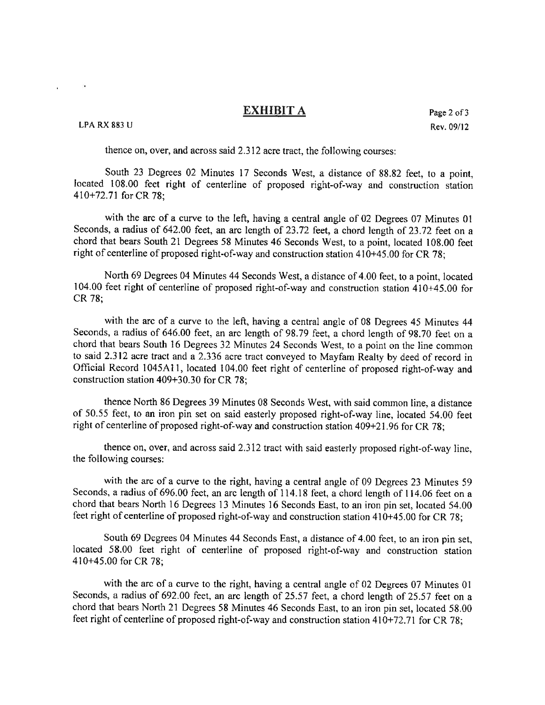## **EXHIBIT A**

**LPA RX 883 U** 

 $\ddot{\phantom{1}}$ 

thence on, over, and across said 2.312 acre tract, the following courses:

South 23 Degrees 02 Minutes 17 Seconds West, a distance of 88.82 feet, to a point, located 108.00 feet right of centerline of proposed right-of-way and construction station  $410+72.71$  for CR 78;

with the arc of a curve to the left, having a central angle of 02 Degrees 07 Minutes 01 Seconds, a radius of 642.00 feet, an arc length of 23.72 feet, a chord length of 23.72 feet on a chord that bears South 21 Degrees 58 Minutes 46 Seconds West, to a point, located 108.00 feet right of centerline of proposed right-of-way and construction station 410+45.00 for CR 78;

North 69 Degrees 04 Minutes 44 Seconds West, a distance of 4.00 feet, to a point, located 104.00 feet right of centerline of proposed right-of-way and construction station 410+45.00 for CR 78:

with the arc of a curve to the left, having a central angle of 08 Degrees 45 Minutes 44 Seconds, a radius of 646.00 feet, an arc length of 98.79 feet, a chord length of 98.70 feet on a chord that bears South 16 Degrees 32 Minutes 24 Seconds West, to a point on the line common to said 2.312 acre tract and a 2.336 acre tract conveyed to Mayfam Realty by deed of record in Official Record 1045A11, located 104.00 feet right of centerline of proposed right-of-way and construction station 409+30.30 for CR 78;

thence North 86 Degrees 39 Minutes 08 Seconds West, with said common line, a distance of 50.55 feet, to an iron pin set on said easterly proposed right-of-way line, located 54.00 feet right of centerline of proposed right-of-way and construction station 409+21.96 for CR 78;

thence on, over, and across said 2.312 tract with said easterly proposed right-of-way line. the following courses:

with the arc of a curve to the right, having a central angle of 09 Degrees 23 Minutes 59 Seconds, a radius of 696.00 feet, an arc length of 114.18 feet, a chord length of 114.06 feet on a chord that bears North 16 Degrees 13 Minutes 16 Seconds East, to an iron pin set, located 54.00 feet right of centerline of proposed right-of-way and construction station 410+45.00 for CR 78;

South 69 Degrees 04 Minutes 44 Seconds East, a distance of 4.00 feet, to an iron pin set, located 58.00 feet right of centerline of proposed right-of-way and construction station 410+45.00 for CR 78;

with the arc of a curve to the right, having a central angle of 02 Degrees 07 Minutes 01 Seconds, a radius of 692.00 feet, an arc length of 25.57 feet, a chord length of 25.57 feet on a chord that bears North 21 Degrees 58 Minutes 46 Seconds East, to an iron pin set, located 58.00 feet right of centerline of proposed right-of-way and construction station 410+72.71 for CR 78;